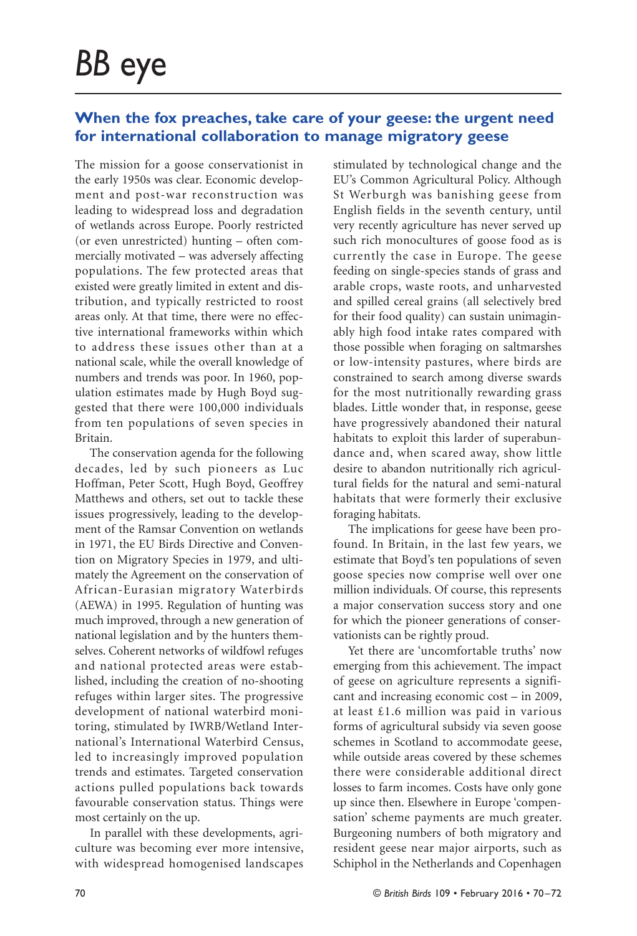## **When the fox preaches, take care of your geese: the urgent need for international collaboration to manage migratory geese**

The mission for a goose conservationist in the early 1950s was clear. Economic development and post-war reconstruction was leading to widespread loss and degradation of wetlands across Europe. Poorly restricted (or even unrestricted) hunting – often commercially motivated – was adversely affecting populations. The few protected areas that existed were greatly limited in extent and distribution, and typically restricted to roost areas only. At that time, there were no effective international frameworks within which to address these issues other than at a national scale, while the overall knowledge of numbers and trends was poor. In 1960, population estimates made by Hugh Boyd suggested that there were 100,000 individuals from ten populations of seven species in Britain.

The conservation agenda for the following decades, led by such pioneers as Luc Hoffman, Peter Scott, Hugh Boyd, Geoffrey Matthews and others, set out to tackle these issues progressively, leading to the development of the Ramsar Convention on wetlands in 1971, the EU Birds Directive and Convention on Migratory Species in 1979, and ultimately the Agreement on the conservation of African-Eurasian migratory Waterbirds (AEWA) in 1995. Regulation of hunting was much improved, through a new generation of national legislation and by the hunters themselves. Coherent networks of wildfowl refuges and national protected areas were established, including the creation of no-shooting refuges within larger sites. The progressive development of national waterbird monitoring, stimulated by IWRB/Wetland International's International Waterbird Census, led to increasingly improved population trends and estimates. Targeted conservation actions pulled populations back towards favourable conservation status. Things were most certainly on the up.

In parallel with these developments, agriculture was becoming ever more intensive, with widespread homogenised landscapes stimulated by technological change and the EU's Common Agricultural Policy. Although St Werburgh was banishing geese from English fields in the seventh century, until very recently agriculture has never served up such rich monocultures of goose food as is currently the case in Europe. The geese feeding on single-species stands of grass and arable crops, waste roots, and unharvested and spilled cereal grains (all selectively bred for their food quality) can sustain unimaginably high food intake rates compared with those possible when foraging on saltmarshes or low-intensity pastures, where birds are constrained to search among diverse swards for the most nutritionally rewarding grass blades. Little wonder that, in response, geese have progressively abandoned their natural habitats to exploit this larder of superabundance and, when scared away, show little desire to abandon nutritionally rich agricultural fields for the natural and semi-natural habitats that were formerly their exclusive foraging habitats.

The implications for geese have been profound. In Britain, in the last few years, we estimate that Boyd's ten populations of seven goose species now comprise well over one million individuals. Of course, this represents a major conservation success story and one for which the pioneer generations of conservationists can be rightly proud.

Yet there are 'uncomfortable truths' now emerging from this achievement. The impact of geese on agriculture represents a significant and increasing economic cost – in 2009, at least £1.6 million was paid in various forms of agricultural subsidy via seven goose schemes in Scotland to accommodate geese, while outside areas covered by these schemes there were considerable additional direct losses to farm incomes. Costs have only gone up since then. Elsewhere in Europe 'compensation' scheme payments are much greater. Burgeoning numbers of both migratory and resident geese near major airports, such as Schiphol in the Netherlands and Copenhagen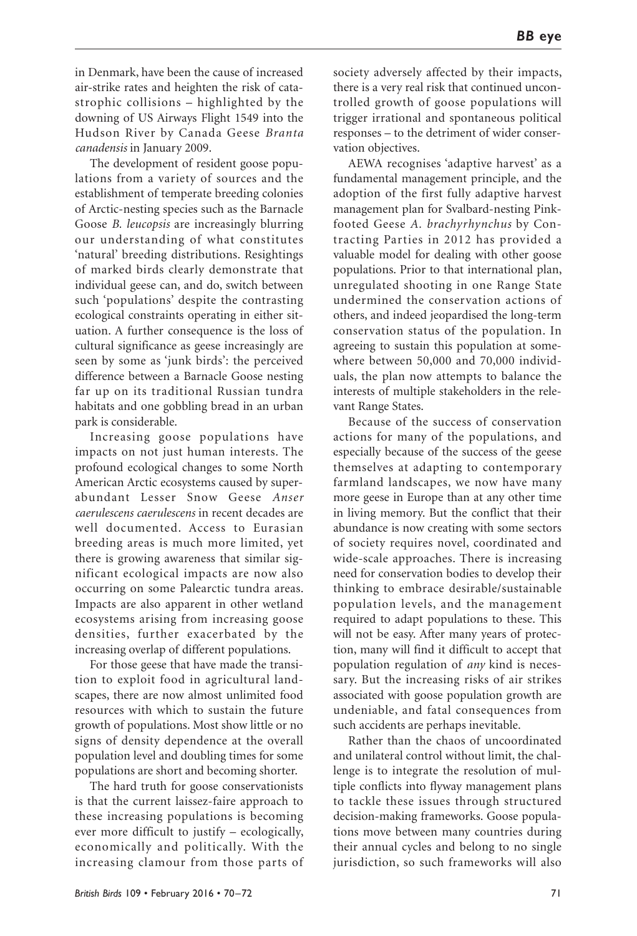in Denmark, have been the cause of increased air-strike rates and heighten the risk of catastrophic collisions – highlighted by the downing of US Airways Flight 1549 into the Hudson River by Canada Geese *Branta canadensis* in January 2009.

The development of resident goose populations from a variety of sources and the establishment of temperate breeding colonies of Arctic-nesting species such as the Barnacle Goose *B. leucopsis* are increasingly blurring our understanding of what constitutes 'natural' breeding distributions. Resightings of marked birds clearly demonstrate that individual geese can, and do, switch between such 'populations' despite the contrasting ecological constraints operating in either situation. A further consequence is the loss of cultural significance as geese increasingly are seen by some as 'junk birds': the perceived difference between a Barnacle Goose nesting far up on its traditional Russian tundra habitats and one gobbling bread in an urban park is considerable.

Increasing goose populations have impacts on not just human interests. The profound ecological changes to some North American Arctic ecosystems caused by superabundant Lesser Snow Geese *Anser caerulescens caerulescens* in recent decades are well documented. Access to Eurasian breeding areas is much more limited, yet there is growing awareness that similar significant ecological impacts are now also occurring on some Palearctic tundra areas. Impacts are also apparent in other wetland ecosystems arising from increasing goose densities, further exacerbated by the increasing overlap of different populations.

For those geese that have made the transition to exploit food in agricultural landscapes, there are now almost unlimited food resources with which to sustain the future growth of populations. Most show little or no signs of density dependence at the overall population level and doubling times for some populations are short and becoming shorter.

The hard truth for goose conservationists is that the current laissez-faire approach to these increasing populations is becoming ever more difficult to justify – ecologically, economically and politically. With the increasing clamour from those parts of

society adversely affected by their impacts, there is a very real risk that continued uncontrolled growth of goose populations will trigger irrational and spontaneous political responses – to the detriment of wider conservation objectives.

AEWA recognises 'adaptive harvest' as a fundamental management principle, and the adoption of the first fully adaptive harvest management plan for Svalbard-nesting Pinkfooted Geese *A. brachyrhynchus* by Contracting Parties in 2012 has provided a valuable model for dealing with other goose populations. Prior to that international plan, unregulated shooting in one Range State undermined the conservation actions of others, and indeed jeopardised the long-term conservation status of the population. In agreeing to sustain this population at somewhere between 50,000 and 70,000 individuals, the plan now attempts to balance the interests of multiple stakeholders in the relevant Range States.

Because of the success of conservation actions for many of the populations, and especially because of the success of the geese themselves at adapting to contemporary farmland landscapes, we now have many more geese in Europe than at any other time in living memory. But the conflict that their abundance is now creating with some sectors of society requires novel, coordinated and wide-scale approaches. There is increasing need for conservation bodies to develop their thinking to embrace desirable/sustainable population levels, and the management required to adapt populations to these. This will not be easy. After many years of protection, many will find it difficult to accept that population regulation of *any* kind is necessary. But the increasing risks of air strikes associated with goose population growth are undeniable, and fatal consequences from such accidents are perhaps inevitable.

Rather than the chaos of uncoordinated and unilateral control without limit, the challenge is to integrate the resolution of multiple conflicts into flyway management plans to tackle these issues through structured decision-making frameworks. Goose populations move between many countries during their annual cycles and belong to no single jurisdiction, so such frameworks will also